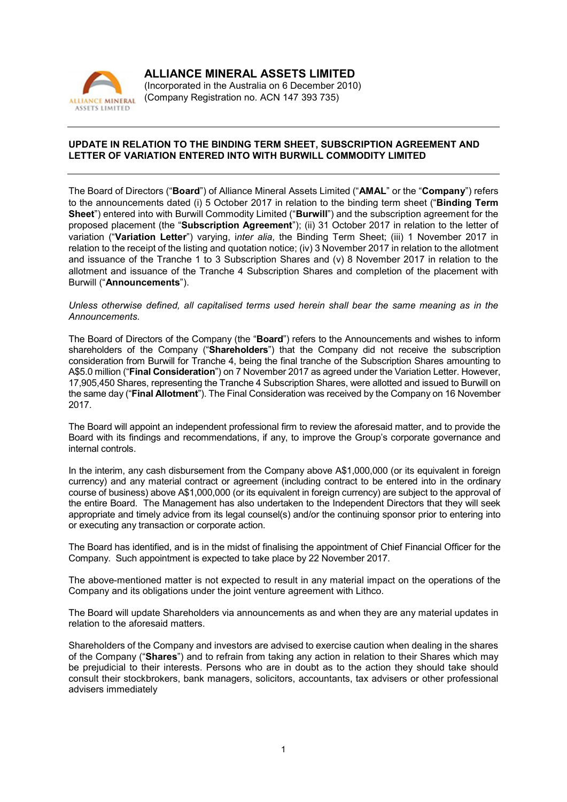

ALLIANCE MINERAL ASSETS LIMITED (Incorporated in the Australia on 6 December 2010) (Company Registration no. ACN 147 393 735)

## UPDATE IN RELATION TO THE BINDING TERM SHEET, SUBSCRIPTION AGREEMENT AND LETTER OF VARIATION ENTERED INTO WITH BURWILL COMMODITY LIMITED

The Board of Directors ("Board") of Alliance Mineral Assets Limited ("AMAL" or the "Company") refers to the announcements dated (i) 5 October 2017 in relation to the binding term sheet ("Binding Term Sheet") entered into with Burwill Commodity Limited ("Burwill") and the subscription agreement for the proposed placement (the "Subscription Agreement"); (ii) 31 October 2017 in relation to the letter of variation ("Variation Letter") varying, i*nter alia*, the Binding Term Sheet; (iii) 1 November 2017 in relation to the receipt of the listing and quotation notice; (iv) 3 November 2017 in relation to the allotment and issuance of the Tranche 1 to 3 Subscription Shares and (v) 8 November 2017 in relation to the allotment and issuance of the Tranche 4 Subscription Shares and completion of the placement with Burwill ("Announcements").

## *Unless otherwise defined, all capitalised terms used herein shall bear the same meaning as in the Announcements.*

The Board of Directors of the Company (the "Board") refers to the Announcements and wishes to inform shareholders of the Company ("Shareholders") that the Company did not receive the subscription consideration from Burwill for Tranche 4, being the final tranche of the Subscription Shares amounting to A\$5.0 million ("Final Consideration") on 7 November 2017 as agreed under the Variation Letter. However, 17,905,450 Shares, representing the Tranche 4 Subscription Shares, were allotted and issued to Burwill on the same day ("Final Allotment"). The Final Consideration was received by the Company on 16 November 2017.

The Board will appoint an independent professional firm to review the aforesaid matter, and to provide the Board with its findings and recommendations, if any, to improve the Group's corporate governance and internal controls.

In the interim, any cash disbursement from the Company above A\$1,000,000 (or its equivalent in foreign currency) and any material contract or agreement (including contract to be entered into in the ordinary course of business) above A\$1,000,000 (or its equivalent in foreign currency) are subject to the approval of the entire Board. The Management has also undertaken to the Independent Directors that they will seek appropriate and timely advice from its legal counsel(s) and/or the continuing sponsor prior to entering into or executing any transaction or corporate action.

The Board has identified, and is in the midst of finalising the appointment of Chief Financial Officer for the Company. Such appointment is expected to take place by 22 November 2017.

The above-mentioned matter is not expected to result in any material impact on the operations of the Company and its obligations under the joint venture agreement with Lithco.

The Board will update Shareholders via announcements as and when they are any material updates in relation to the aforesaid matters.

Shareholders of the Company and investors are advised to exercise caution when dealing in the shares of the Company ("Shares") and to refrain from taking any action in relation to their Shares which may be prejudicial to their interests. Persons who are in doubt as to the action they should take should consult their stockbrokers, bank managers, solicitors, accountants, tax advisers or other professional advisers immediately